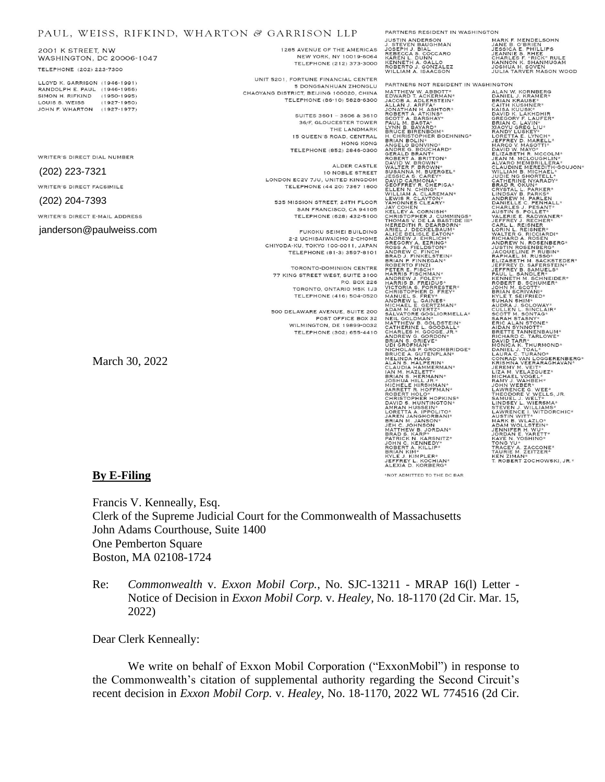## PAUL, WEISS, RIFKIND, WHARTON & GARRISON LLP

2001 K STREET, NW WASHINGTON, DC 20006-1047 TELEPHONE (202) 223-7300

LLOYD K GARRISON (1946-1991) RANDOLPH E. PAUL (1946-1956) SIMON H. RIFKIND (1950-1995) LOUIS S. WEISS  $(1927 - 1950)$ JOHN F. WHARTON (1927-1977)

WRITER'S DIRECT DIAL NUMBER

## (202) 223-7321

WRITER'S DIRECT FACSIMILE

### (202) 204-7393

WRITER'S DIRECT E-MAIL ADDRESS

janderson@paulweiss.com

1285 AVENUE OF THE AMERICAS NEW YORK, NY 10019-6064 TELEPHONE (212) 373-3000

UNIT 5201, FORTUNE FINANCIAL CENTER 5 DONGSANHUAN ZHONGLU CHAOYANG DISTRICT BELIJNG 100020 CHINA TELEPHONE (86-10) 5828-6300

> SUITES 3601 - 3606 & 3610 36/F, GLOUCESTER TOWER THE LANDMARK 15 QUEEN'S ROAD, CENTRAL HONG KONG TELEPHONE (852) 2846-0300

ALDER CASTLE 10 NOBLE STREET LONDON EC2V 7JU, UNITED KINGDOM TELEPHONE (44 20) 7367 1600

535 MISSION STREET, 24TH FLOOR SAN FRANCISCO, CA 94105 TELEPHONE (628) 432-5100

FUKOKU SEIMEI BUILDING 2-2 UCHISAIWAICHO 2-CHOME CHIYODA-KU, TOKYO 100-0011, JAPAN TELEPHONE (81-3) 3597-8101

TORONTO-DOMINION CENTRE 77 KING STREET WEST, SUITE 3100 P.O. BOX 226 TORONTO, ONTARIO M5K 1J3 TELEPHONE (416) 504-0520

500 DELAWARE AVENUE, SUITE 200 POST OFFICE BOX 32 WILMINGTON, DE 19899-0032 TELEPHONE (302) 655-4410

March 30, 2022

# THE HISTORICAL PROPERTY AND STATE STATES AND SERVED CONTRACT CONTRACT CONTRACT CONTRACT CONTRACT CONTRACT CONTRACT CONTRACT CONTRACT CONTRACT CONTRACT CONTRACT CONTRACT CONTRACT CONTRACT CONTRACT CONTRACT CONTRACT CONTRACT

PARTNERS RESIDENT IN WASHINGTON

MARK F. MENDELSOHN<br>JANE B. O'BRIEN<br>JESSICA E. PHILLIPS<br>CHARLES F. RHEE<br>CHARLES F. "RICK" RULE<br>KANNON K. SHANMUGAM<br>KANNON K. SOVEN JOSHUA H. SOVEN<br>JULIA TARVER MASON WOOD

PARTNERS NOT RESIDENT IN WASHINGTON FANIFIER WITHOUT AND MANUSTRATION AND MANUSTRAL AND MANUSTRATION AND MANUSTRATION AND MANUSTRATION CONTRACT AND MANUSTRATION CONTRACT AND MANUSTRATION CONTRACT AND MANUSTRATION CONTRACT AND MANUSTRATION (CONTRACT A BANDATH BRIAN KIM\*<br>KYLE J. KIMPLER\*<br>JEFFREY L. KOCHIAN\*<br>ALEXIA D. KORBERG\*

MONIMATING THE MANUFACTION AND MANUFACTION AND MANUFACTION AND NOTING TO SAND THAN A SANDY TO MAKE THAN A SANDY THAN AN ANNUFACT CANDITION AND MANUFACTION AND MANUFACTION AND MANUFACTION AND MANUFACTION AND MANUFACTION AND

# **By E-Filing**

\*NOT ADMITTED TO THE DC BAR

Francis V. Kenneally, Esq. Clerk of the Supreme Judicial Court for the Commonwealth of Massachusetts John Adams Courthouse, Suite 1400 One Pemberton Square Boston, MA 02108-1724

Re: *Commonwealth* v. *Exxon Mobil Corp.*, No. SJC-13211 - MRAP 16(l) Letter - Notice of Decision in *Exxon Mobil Corp.* v. *Healey*, No. 18-1170 (2d Cir. Mar. 15, 2022)

Dear Clerk Kenneally:

We write on behalf of Exxon Mobil Corporation ("ExxonMobil") in response to the Commonwealth's citation of supplemental authority regarding the Second Circuit's recent decision in *Exxon Mobil Corp.* v. *Healey*, No. 18-1170, 2022 WL 774516 (2d Cir.